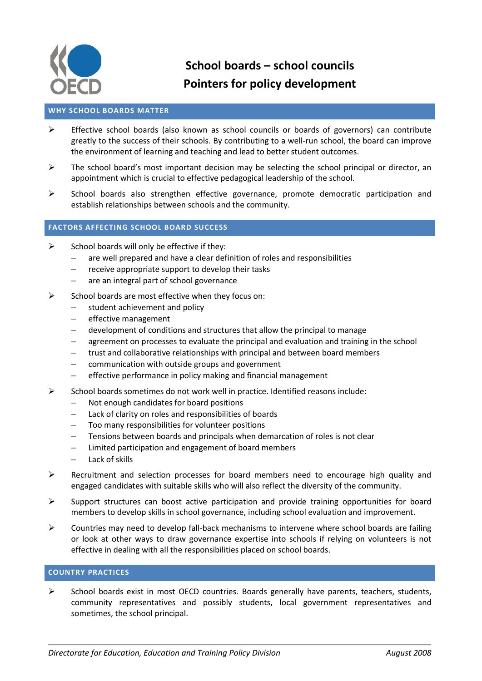

# **School boards – school councils Pointers for policy development**

# **WHY SCHOOL BOARDS MATTER**

- $\triangleright$  Effective school boards (also known as school councils or boards of governors) can contribute greatly to the success of their schools. By contributing to a well-run school, the board can improve the environment of learning and teaching and lead to better student outcomes.
- $\triangleright$  The school board's most important decision may be selecting the school principal or director, an appointment which is crucial to effective pedagogical leadership of the school.
- $\triangleright$  School boards also strengthen effective governance, promote democratic participation and establish relationships between schools and the community.

# **FACTORS AFFECTING SCHOOL BOARD SUCCESS**

- $\triangleright$  School boards will only be effective if they:
	- are well prepared and have a clear definition of roles and responsibilities
	- $-$  receive appropriate support to develop their tasks
	- are an integral part of school governance
- $\triangleright$  School boards are most effective when they focus on:
	- $-$  student achievement and policy
	- $-$  effective management
	- development of conditions and structures that allow the principal to manage
	- agreement on processes to evaluate the principal and evaluation and training in the school
	- trust and collaborative relationships with principal and between board members
	- $\overline{-}$  communication with outside groups and government
	- effective performance in policy making and financial management
- $\triangleright$  School boards sometimes do not work well in practice. Identified reasons include:
	- Not enough candidates for board positions
	- Lack of clarity on roles and responsibilities of boards
	- Too many responsibilities for volunteer positions
	- Tensions between boards and principals when demarcation of roles is not clear
	- Limited participation and engagement of board members
	- Lack of skills
- $\triangleright$  Recruitment and selection processes for board members need to encourage high quality and engaged candidates with suitable skills who will also reflect the diversity of the community.
- $\triangleright$  Support structures can boost active participation and provide training opportunities for board members to develop skills in school governance, including school evaluation and improvement.
- $\triangleright$  Countries may need to develop fall-back mechanisms to intervene where school boards are failing or look at other ways to draw governance expertise into schools if relying on volunteers is not effective in dealing with all the responsibilities placed on school boards.

## **COUNTRY PRACTICES**

 $\triangleright$  School boards exist in most OECD countries. Boards generally have parents, teachers, students, community representatives and possibly students, local government representatives and sometimes, the school principal.